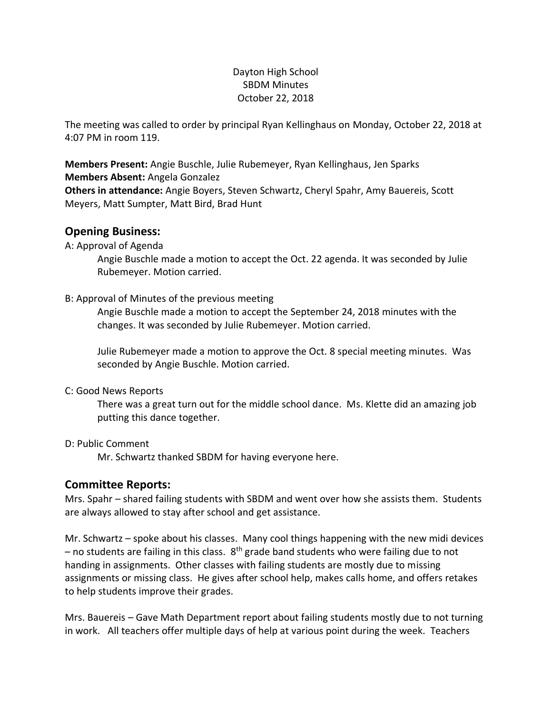### Dayton High School SBDM Minutes October 22, 2018

The meeting was called to order by principal Ryan Kellinghaus on Monday, October 22, 2018 at 4:07 PM in room 119.

**Members Present:** Angie Buschle, Julie Rubemeyer, Ryan Kellinghaus, Jen Sparks **Members Absent:** Angela Gonzalez

**Others in attendance:** Angie Boyers, Steven Schwartz, Cheryl Spahr, Amy Bauereis, Scott Meyers, Matt Sumpter, Matt Bird, Brad Hunt

# **Opening Business:**

A: Approval of Agenda

Angie Buschle made a motion to accept the Oct. 22 agenda. It was seconded by Julie Rubemeyer. Motion carried.

### B: Approval of Minutes of the previous meeting

Angie Buschle made a motion to accept the September 24, 2018 minutes with the changes. It was seconded by Julie Rubemeyer. Motion carried.

Julie Rubemeyer made a motion to approve the Oct. 8 special meeting minutes. Was seconded by Angie Buschle. Motion carried.

#### C: Good News Reports

There was a great turn out for the middle school dance. Ms. Klette did an amazing job putting this dance together.

# D: Public Comment

Mr. Schwartz thanked SBDM for having everyone here.

# **Committee Reports:**

Mrs. Spahr – shared failing students with SBDM and went over how she assists them. Students are always allowed to stay after school and get assistance.

Mr. Schwartz – spoke about his classes. Many cool things happening with the new midi devices – no students are failing in this class.  $8<sup>th</sup>$  grade band students who were failing due to not handing in assignments. Other classes with failing students are mostly due to missing assignments or missing class. He gives after school help, makes calls home, and offers retakes to help students improve their grades.

Mrs. Bauereis – Gave Math Department report about failing students mostly due to not turning in work. All teachers offer multiple days of help at various point during the week. Teachers